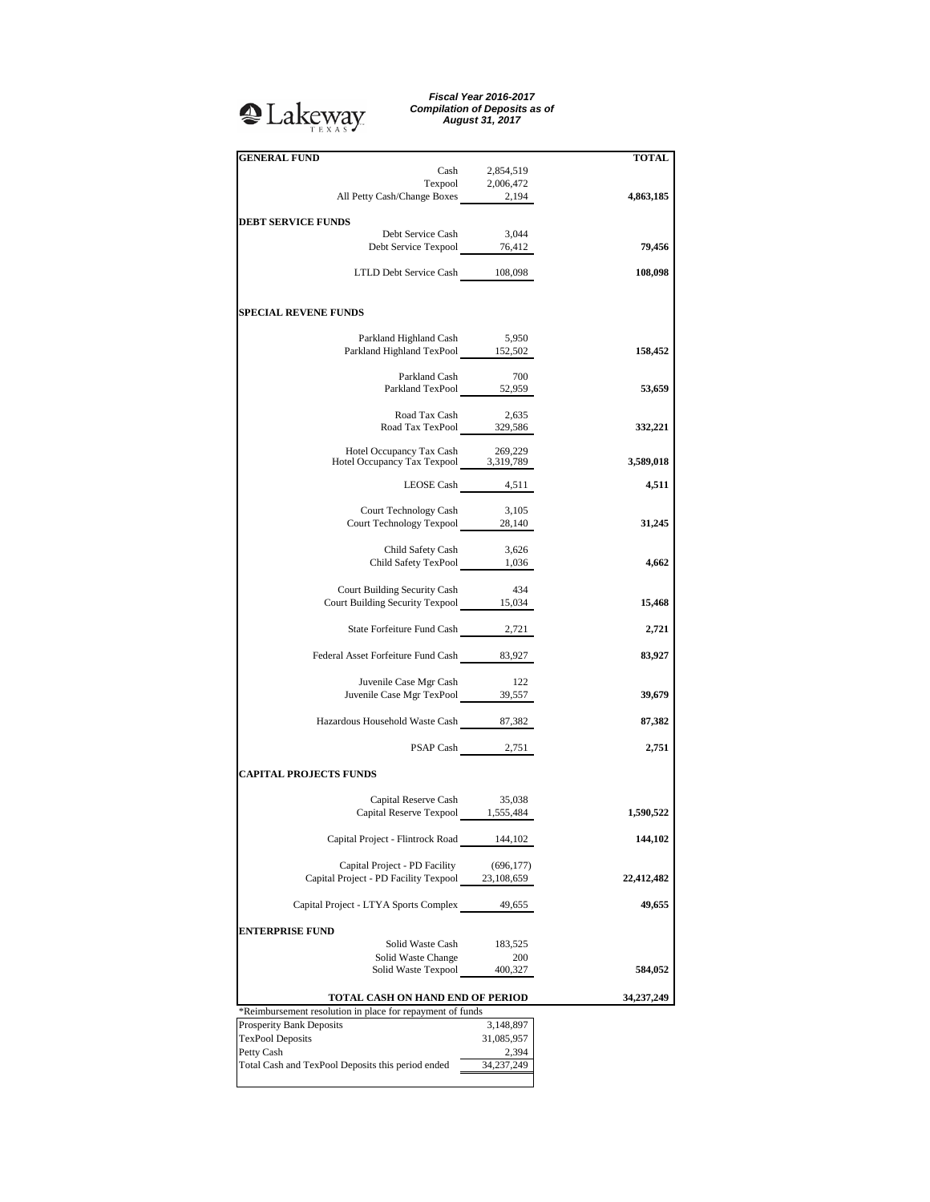## **Q**Lakeway

*Fiscal Year 2016-2017 Compilation of Deposits as of August 31, 2017*

| <b>GENERAL FUND</b>                                                                                                                |                 | <b>TOTAL</b> |
|------------------------------------------------------------------------------------------------------------------------------------|-----------------|--------------|
|                                                                                                                                    | Cash 2,854,519  |              |
| $\begin{tabular}{c} \bf{Tempool} \hspace{1cm} 2,006,472 \\ \bf{All Petty Cash/Change \, Boxes \hspace{1.2cm} 2,194} \end{tabular}$ |                 |              |
|                                                                                                                                    |                 | 4,863,185    |
| <b>DEBT SERVICE FUNDS</b>                                                                                                          |                 |              |
| Debt Service Cash                                                                                                                  | 3,044           |              |
| Debt Service Texpool 76,412                                                                                                        |                 | 79,456       |
| LTLD Debt Service Cash 108,098                                                                                                     |                 | 108,098      |
|                                                                                                                                    |                 |              |
| <b>SPECIAL REVENE FUNDS</b>                                                                                                        |                 |              |
| Parkland Highland Cash                                                                                                             | 5,950           |              |
| Parkland Highland TexPool 152,502                                                                                                  |                 | 158,452      |
|                                                                                                                                    |                 |              |
| Parkland Cash<br>Parkland TexPool 52,959                                                                                           | - 700           |              |
|                                                                                                                                    |                 | 53,659       |
|                                                                                                                                    |                 |              |
| Road Tax Cash 2,635<br>Road Tax TexPool 329,586                                                                                    |                 | 332,221      |
|                                                                                                                                    |                 |              |
| Hotel Occupancy Tax Cash 269,229<br>Hotel Occupancy Tax Texpool 3,319,789                                                          |                 | 3,589,018    |
|                                                                                                                                    |                 |              |
| LEOSE Cash 4,511                                                                                                                   |                 | 4,511        |
| Court Technology Cash                                                                                                              | 3,105           |              |
| Court Technology Texpool 28,140                                                                                                    |                 | 31,245       |
|                                                                                                                                    |                 |              |
| Child Safety Cash<br>Child Safety TexPool 1,036                                                                                    | 3,626           | 4,662        |
|                                                                                                                                    |                 |              |
| Court Building Security Cash                                                                                                       | 434             |              |
| Court Building Security Texpool 15,034                                                                                             |                 | 15,468       |
|                                                                                                                                    |                 |              |
| State Forfeiture Fund Cash 2,721                                                                                                   |                 | 2,721        |
| Federal Asset Forfeiture Fund Cash 83,927                                                                                          |                 | 83,927       |
|                                                                                                                                    |                 |              |
| Juvenile Case Mgr Cash                                                                                                             | 122             |              |
| Juvenile Case Mgr TexPool 39,557                                                                                                   |                 | 39,679       |
|                                                                                                                                    |                 |              |
| Hazardous Household Waste Cash 87,382                                                                                              |                 | 87,382       |
|                                                                                                                                    | PSAP Cash 2,751 | 2,751        |
| <b>CAPITAL PROJECTS FUNDS</b>                                                                                                      |                 |              |
|                                                                                                                                    |                 |              |
| Capital Reserve Cash 35,038                                                                                                        |                 |              |
| Capital Reserve Texpool 1,555,484                                                                                                  |                 | 1,590,522    |
| Capital Project - Flintrock Road                                                                                                   | 144,102         | 144,102      |
|                                                                                                                                    |                 |              |
| Capital Project - PD Facility                                                                                                      | (696, 177)      |              |
| Capital Project - PD Facility Texpool 23,108,659                                                                                   |                 | 22,412,482   |
| Capital Project - LTYA Sports Complex                                                                                              | 49,655          | 49,655       |
|                                                                                                                                    |                 |              |
| <b>ENTERPRISE FUND</b>                                                                                                             |                 |              |
| Solid Waste Cash                                                                                                                   | 183,525         |              |
| Solid Waste Change                                                                                                                 | 200             |              |
| Solid Waste Texpool                                                                                                                | 400,327         | 584,052      |
| TOTAL CASH ON HAND END OF PERIOD                                                                                                   |                 | 34,237,249   |
| *Reimbursement resolution in place for repayment of funds                                                                          |                 |              |
| Prosperity Bank Deposits                                                                                                           | 3,148,897       |              |
| <b>TexPool Deposits</b>                                                                                                            | 31,085,957      |              |
| Petty Cash                                                                                                                         | 2,394           |              |
| Total Cash and TexPool Deposits this period ended                                                                                  | 34,237,249      |              |
|                                                                                                                                    |                 |              |